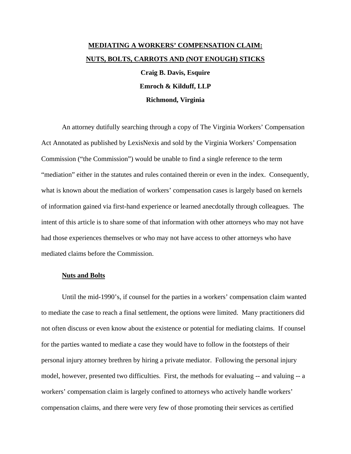## **MEDIATING A WORKERS' COMPENSATION CLAIM: NUTS, BOLTS, CARROTS AND (NOT ENOUGH) STICKS**

**Craig B. Davis, Esquire Emroch & Kilduff, LLP Richmond, Virginia** 

An attorney dutifully searching through a copy of The Virginia Workers' Compensation Act Annotated as published by LexisNexis and sold by the Virginia Workers' Compensation Commission ("the Commission") would be unable to find a single reference to the term "mediation" either in the statutes and rules contained therein or even in the index. Consequently, what is known about the mediation of workers' compensation cases is largely based on kernels of information gained via first-hand experience or learned anecdotally through colleagues. The intent of this article is to share some of that information with other attorneys who may not have had those experiences themselves or who may not have access to other attorneys who have mediated claims before the Commission.

## **Nuts and Bolts**

Until the mid-1990's, if counsel for the parties in a workers' compensation claim wanted to mediate the case to reach a final settlement, the options were limited. Many practitioners did not often discuss or even know about the existence or potential for mediating claims. If counsel for the parties wanted to mediate a case they would have to follow in the footsteps of their personal injury attorney brethren by hiring a private mediator. Following the personal injury model, however, presented two difficulties. First, the methods for evaluating -- and valuing -- a workers' compensation claim is largely confined to attorneys who actively handle workers' compensation claims, and there were very few of those promoting their services as certified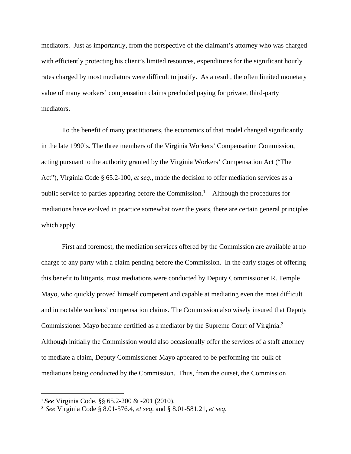mediators. Just as importantly, from the perspective of the claimant's attorney who was charged with efficiently protecting his client's limited resources, expenditures for the significant hourly rates charged by most mediators were difficult to justify. As a result, the often limited monetary value of many workers' compensation claims precluded paying for private, third-party mediators.

To the benefit of many practitioners, the economics of that model changed significantly in the late 1990's. The three members of the Virginia Workers' Compensation Commission, acting pursuant to the authority granted by the Virginia Workers' Compensation Act ("The Act"), Virginia Code § 65.2-100, *et seq.*, made the decision to offer mediation services as a public service to parties appearing before the Commission.<sup>1</sup> Although the procedures for mediations have evolved in practice somewhat over the years, there are certain general principles which apply.

First and foremost, the mediation services offered by the Commission are available at no charge to any party with a claim pending before the Commission. In the early stages of offering this benefit to litigants, most mediations were conducted by Deputy Commissioner R. Temple Mayo, who quickly proved himself competent and capable at mediating even the most difficult and intractable workers' compensation claims. The Commission also wisely insured that Deputy Commissioner Mayo became certified as a mediator by the Supreme Court of Virginia.<sup>2</sup> Although initially the Commission would also occasionally offer the services of a staff attorney to mediate a claim, Deputy Commissioner Mayo appeared to be performing the bulk of mediations being conducted by the Commission. Thus, from the outset, the Commission

<sup>1</sup> *See* Virginia Code. §§ 65.2-200 & -201 (2010).

<sup>2</sup> *See* Virginia Code § 8.01-576.4, *et seq*. and § 8.01-581.21, *et seq*.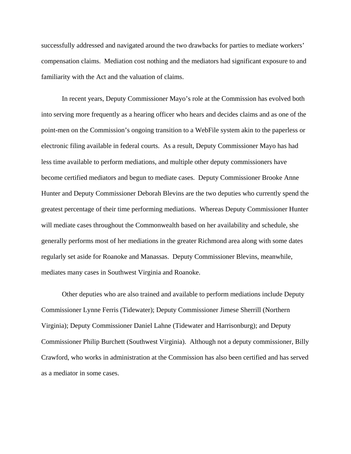successfully addressed and navigated around the two drawbacks for parties to mediate workers' compensation claims. Mediation cost nothing and the mediators had significant exposure to and familiarity with the Act and the valuation of claims.

In recent years, Deputy Commissioner Mayo's role at the Commission has evolved both into serving more frequently as a hearing officer who hears and decides claims and as one of the point-men on the Commission's ongoing transition to a WebFile system akin to the paperless or electronic filing available in federal courts. As a result, Deputy Commissioner Mayo has had less time available to perform mediations, and multiple other deputy commissioners have become certified mediators and begun to mediate cases. Deputy Commissioner Brooke Anne Hunter and Deputy Commissioner Deborah Blevins are the two deputies who currently spend the greatest percentage of their time performing mediations. Whereas Deputy Commissioner Hunter will mediate cases throughout the Commonwealth based on her availability and schedule, she generally performs most of her mediations in the greater Richmond area along with some dates regularly set aside for Roanoke and Manassas. Deputy Commissioner Blevins, meanwhile, mediates many cases in Southwest Virginia and Roanoke.

Other deputies who are also trained and available to perform mediations include Deputy Commissioner Lynne Ferris (Tidewater); Deputy Commissioner Jimese Sherrill (Northern Virginia); Deputy Commissioner Daniel Lahne (Tidewater and Harrisonburg); and Deputy Commissioner Philip Burchett (Southwest Virginia). Although not a deputy commissioner, Billy Crawford, who works in administration at the Commission has also been certified and has served as a mediator in some cases.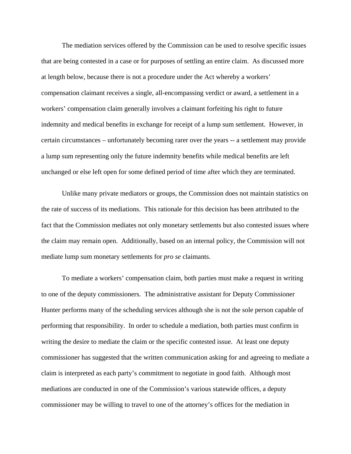The mediation services offered by the Commission can be used to resolve specific issues that are being contested in a case or for purposes of settling an entire claim. As discussed more at length below, because there is not a procedure under the Act whereby a workers' compensation claimant receives a single, all-encompassing verdict or award, a settlement in a workers' compensation claim generally involves a claimant forfeiting his right to future indemnity and medical benefits in exchange for receipt of a lump sum settlement. However, in certain circumstances – unfortunately becoming rarer over the years -- a settlement may provide a lump sum representing only the future indemnity benefits while medical benefits are left unchanged or else left open for some defined period of time after which they are terminated.

Unlike many private mediators or groups, the Commission does not maintain statistics on the rate of success of its mediations. This rationale for this decision has been attributed to the fact that the Commission mediates not only monetary settlements but also contested issues where the claim may remain open. Additionally, based on an internal policy, the Commission will not mediate lump sum monetary settlements for *pro se* claimants.

To mediate a workers' compensation claim, both parties must make a request in writing to one of the deputy commissioners. The administrative assistant for Deputy Commissioner Hunter performs many of the scheduling services although she is not the sole person capable of performing that responsibility. In order to schedule a mediation, both parties must confirm in writing the desire to mediate the claim or the specific contested issue. At least one deputy commissioner has suggested that the written communication asking for and agreeing to mediate a claim is interpreted as each party's commitment to negotiate in good faith. Although most mediations are conducted in one of the Commission's various statewide offices, a deputy commissioner may be willing to travel to one of the attorney's offices for the mediation in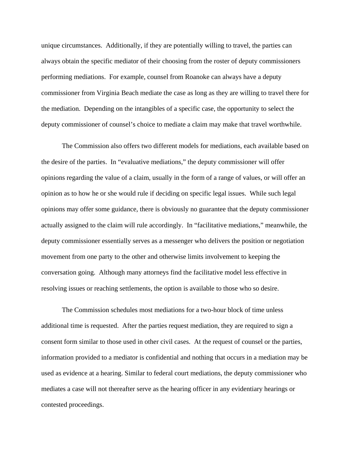unique circumstances. Additionally, if they are potentially willing to travel, the parties can always obtain the specific mediator of their choosing from the roster of deputy commissioners performing mediations. For example, counsel from Roanoke can always have a deputy commissioner from Virginia Beach mediate the case as long as they are willing to travel there for the mediation. Depending on the intangibles of a specific case, the opportunity to select the deputy commissioner of counsel's choice to mediate a claim may make that travel worthwhile.

 The Commission also offers two different models for mediations, each available based on the desire of the parties. In "evaluative mediations," the deputy commissioner will offer opinions regarding the value of a claim, usually in the form of a range of values, or will offer an opinion as to how he or she would rule if deciding on specific legal issues. While such legal opinions may offer some guidance, there is obviously no guarantee that the deputy commissioner actually assigned to the claim will rule accordingly. In "facilitative mediations," meanwhile, the deputy commissioner essentially serves as a messenger who delivers the position or negotiation movement from one party to the other and otherwise limits involvement to keeping the conversation going. Although many attorneys find the facilitative model less effective in resolving issues or reaching settlements, the option is available to those who so desire.

The Commission schedules most mediations for a two-hour block of time unless additional time is requested. After the parties request mediation, they are required to sign a consent form similar to those used in other civil cases. At the request of counsel or the parties, information provided to a mediator is confidential and nothing that occurs in a mediation may be used as evidence at a hearing. Similar to federal court mediations, the deputy commissioner who mediates a case will not thereafter serve as the hearing officer in any evidentiary hearings or contested proceedings.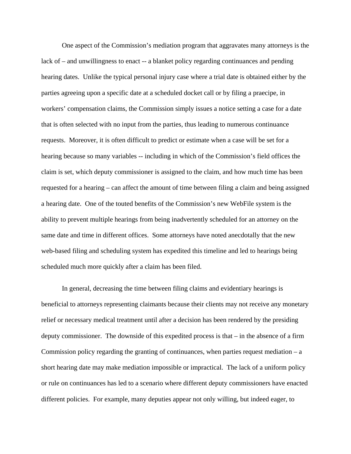One aspect of the Commission's mediation program that aggravates many attorneys is the lack of – and unwillingness to enact -- a blanket policy regarding continuances and pending hearing dates. Unlike the typical personal injury case where a trial date is obtained either by the parties agreeing upon a specific date at a scheduled docket call or by filing a praecipe, in workers' compensation claims, the Commission simply issues a notice setting a case for a date that is often selected with no input from the parties, thus leading to numerous continuance requests. Moreover, it is often difficult to predict or estimate when a case will be set for a hearing because so many variables -- including in which of the Commission's field offices the claim is set, which deputy commissioner is assigned to the claim, and how much time has been requested for a hearing – can affect the amount of time between filing a claim and being assigned a hearing date. One of the touted benefits of the Commission's new WebFile system is the ability to prevent multiple hearings from being inadvertently scheduled for an attorney on the same date and time in different offices. Some attorneys have noted anecdotally that the new web-based filing and scheduling system has expedited this timeline and led to hearings being scheduled much more quickly after a claim has been filed.

In general, decreasing the time between filing claims and evidentiary hearings is beneficial to attorneys representing claimants because their clients may not receive any monetary relief or necessary medical treatment until after a decision has been rendered by the presiding deputy commissioner. The downside of this expedited process is that – in the absence of a firm Commission policy regarding the granting of continuances, when parties request mediation  $- a$ short hearing date may make mediation impossible or impractical. The lack of a uniform policy or rule on continuances has led to a scenario where different deputy commissioners have enacted different policies. For example, many deputies appear not only willing, but indeed eager, to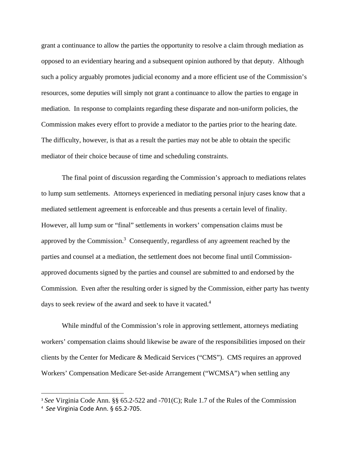grant a continuance to allow the parties the opportunity to resolve a claim through mediation as opposed to an evidentiary hearing and a subsequent opinion authored by that deputy. Although such a policy arguably promotes judicial economy and a more efficient use of the Commission's resources, some deputies will simply not grant a continuance to allow the parties to engage in mediation. In response to complaints regarding these disparate and non-uniform policies, the Commission makes every effort to provide a mediator to the parties prior to the hearing date. The difficulty, however, is that as a result the parties may not be able to obtain the specific mediator of their choice because of time and scheduling constraints.

 The final point of discussion regarding the Commission's approach to mediations relates to lump sum settlements. Attorneys experienced in mediating personal injury cases know that a mediated settlement agreement is enforceable and thus presents a certain level of finality. However, all lump sum or "final" settlements in workers' compensation claims must be approved by the Commission. $3$  Consequently, regardless of any agreement reached by the parties and counsel at a mediation, the settlement does not become final until Commissionapproved documents signed by the parties and counsel are submitted to and endorsed by the Commission. Even after the resulting order is signed by the Commission, either party has twenty days to seek review of the award and seek to have it vacated.<sup>4</sup>

 While mindful of the Commission's role in approving settlement, attorneys mediating workers' compensation claims should likewise be aware of the responsibilities imposed on their clients by the Center for Medicare & Medicaid Services ("CMS"). CMS requires an approved Workers' Compensation Medicare Set-aside Arrangement ("WCMSA") when settling any

<sup>3</sup> *See* Virginia Code Ann. §§ 65.2-522 and -701(C); Rule 1.7 of the Rules of the Commission

<sup>4</sup> *See* Virginia Code Ann. § 65.2‐705.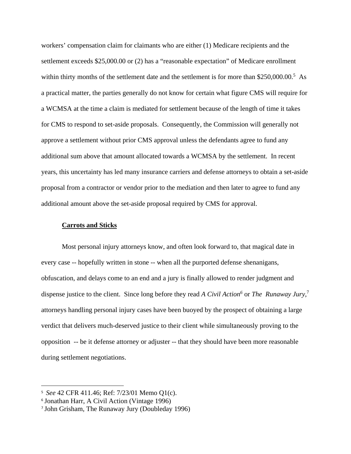workers' compensation claim for claimants who are either (1) Medicare recipients and the settlement exceeds \$25,000.00 or (2) has a "reasonable expectation" of Medicare enrollment within thirty months of the settlement date and the settlement is for more than  $$250,000.00$ .<sup>5</sup> As a practical matter, the parties generally do not know for certain what figure CMS will require for a WCMSA at the time a claim is mediated for settlement because of the length of time it takes for CMS to respond to set-aside proposals. Consequently, the Commission will generally not approve a settlement without prior CMS approval unless the defendants agree to fund any additional sum above that amount allocated towards a WCMSA by the settlement. In recent years, this uncertainty has led many insurance carriers and defense attorneys to obtain a set-aside proposal from a contractor or vendor prior to the mediation and then later to agree to fund any additional amount above the set-aside proposal required by CMS for approval.

## **Carrots and Sticks**

 Most personal injury attorneys know, and often look forward to, that magical date in every case -- hopefully written in stone -- when all the purported defense shenanigans, obfuscation, and delays come to an end and a jury is finally allowed to render judgment and dispense justice to the client. Since long before they read *A Civil Action*<sup>6</sup> or *The Runaway Jury*,<sup>7</sup> attorneys handling personal injury cases have been buoyed by the prospect of obtaining a large verdict that delivers much-deserved justice to their client while simultaneously proving to the opposition -- be it defense attorney or adjuster -- that they should have been more reasonable during settlement negotiations.

<sup>5</sup> *See* 42 CFR 411.46; Ref: 7/23/01 Memo Q1(c).

<sup>6</sup> Jonathan Harr, A Civil Action (Vintage 1996)

<sup>7</sup> John Grisham, The Runaway Jury (Doubleday 1996)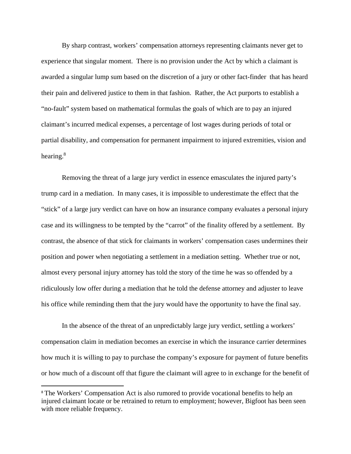By sharp contrast, workers' compensation attorneys representing claimants never get to experience that singular moment. There is no provision under the Act by which a claimant is awarded a singular lump sum based on the discretion of a jury or other fact-finder that has heard their pain and delivered justice to them in that fashion. Rather, the Act purports to establish a "no-fault" system based on mathematical formulas the goals of which are to pay an injured claimant's incurred medical expenses, a percentage of lost wages during periods of total or partial disability, and compensation for permanent impairment to injured extremities, vision and hearing.<sup>8</sup>

Removing the threat of a large jury verdict in essence emasculates the injured party's trump card in a mediation. In many cases, it is impossible to underestimate the effect that the "stick" of a large jury verdict can have on how an insurance company evaluates a personal injury case and its willingness to be tempted by the "carrot" of the finality offered by a settlement. By contrast, the absence of that stick for claimants in workers' compensation cases undermines their position and power when negotiating a settlement in a mediation setting. Whether true or not, almost every personal injury attorney has told the story of the time he was so offended by a ridiculously low offer during a mediation that he told the defense attorney and adjuster to leave his office while reminding them that the jury would have the opportunity to have the final say.

In the absence of the threat of an unpredictably large jury verdict, settling a workers' compensation claim in mediation becomes an exercise in which the insurance carrier determines how much it is willing to pay to purchase the company's exposure for payment of future benefits or how much of a discount off that figure the claimant will agree to in exchange for the benefit of

<sup>&</sup>lt;sup>8</sup> The Workers' Compensation Act is also rumored to provide vocational benefits to help an injured claimant locate or be retrained to return to employment; however, Bigfoot has been seen with more reliable frequency.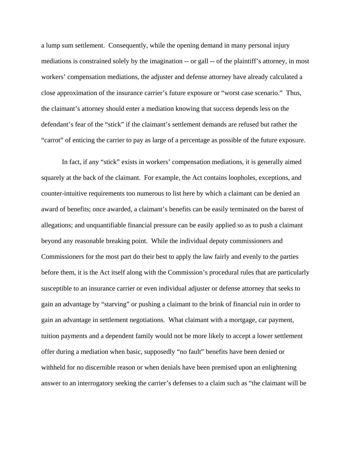a lump sum settlement. Consequently, while the opening demand in many personal injury mediations is constrained solely by the imagination -- or gall -- of the plaintiff's attorney, in most workers' compensation mediations, the adjuster and defense attorney have already calculated a close approximation of the insurance carrier's future exposure or "worst case scenario." Thus, the claimant's attorney should enter a mediation knowing that success depends less on the defendant's fear of the "stick" if the claimant's settlement demands are refused but rather the "carrot" of enticing the carrier to pay as large of a percentage as possible of the future exposure.

In fact, if any "stick" exists in workers' compensation mediations, it is generally aimed squarely at the back of the claimant. For example, the Act contains loopholes, exceptions, and counter-intuitive requirements too numerous to list here by which a claimant can be denied an award of benefits; once awarded, a claimant's benefits can be easily terminated on the barest of allegations; and unquantifiable financial pressure can be easily applied so as to push a claimant beyond any reasonable breaking point. While the individual deputy commissioners and Commissioners for the most part do their best to apply the law fairly and evenly to the parties before them, it is the Act itself along with the Commission's procedural rules that are particularly susceptible to an insurance carrier or even individual adjuster or defense attorney that seeks to gain an advantage by "starving" or pushing a claimant to the brink of financial ruin in order to gain an advantage in settlement negotiations. What claimant with a mortgage, car payment, tuition payments and a dependent family would not be more likely to accept a lower settlement offer during a mediation when basic, supposedly "no fault" benefits have been denied or withheld for no discernible reason or when denials have been premised upon an enlightening answer to an interrogatory seeking the carrier's defenses to a claim such as "the claimant will be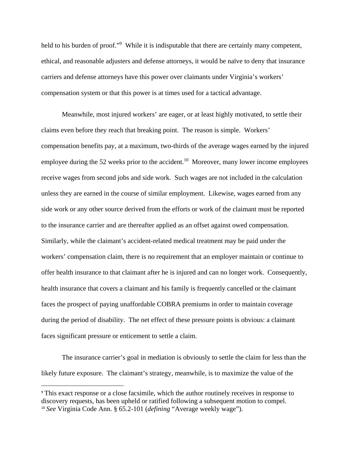held to his burden of proof."<sup>9</sup> While it is indisputable that there are certainly many competent, ethical, and reasonable adjusters and defense attorneys, it would be naïve to deny that insurance carriers and defense attorneys have this power over claimants under Virginia's workers' compensation system or that this power is at times used for a tactical advantage.

Meanwhile, most injured workers' are eager, or at least highly motivated, to settle their claims even before they reach that breaking point. The reason is simple. Workers' compensation benefits pay, at a maximum, two-thirds of the average wages earned by the injured employee during the 52 weeks prior to the accident.<sup>10</sup> Moreover, many lower income employees receive wages from second jobs and side work. Such wages are not included in the calculation unless they are earned in the course of similar employment. Likewise, wages earned from any side work or any other source derived from the efforts or work of the claimant must be reported to the insurance carrier and are thereafter applied as an offset against owed compensation. Similarly, while the claimant's accident-related medical treatment may be paid under the workers' compensation claim, there is no requirement that an employer maintain or continue to offer health insurance to that claimant after he is injured and can no longer work. Consequently, health insurance that covers a claimant and his family is frequently cancelled or the claimant faces the prospect of paying unaffordable COBRA premiums in order to maintain coverage during the period of disability. The net effect of these pressure points is obvious: a claimant faces significant pressure or enticement to settle a claim.

The insurance carrier's goal in mediation is obviously to settle the claim for less than the likely future exposure. The claimant's strategy, meanwhile, is to maximize the value of the

<sup>9</sup> This exact response or a close facsimile, which the author routinely receives in response to discovery requests, has been upheld or ratified following a subsequent motion to compel. <sup>10</sup> *See* Virginia Code Ann. § 65.2-101 (*defining* "Average weekly wage").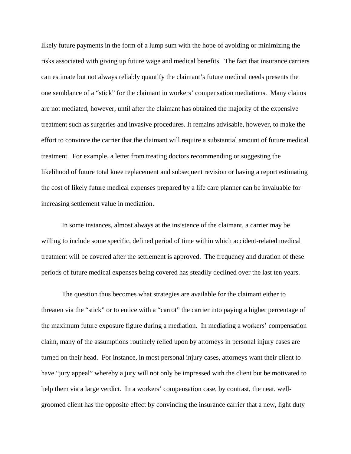likely future payments in the form of a lump sum with the hope of avoiding or minimizing the risks associated with giving up future wage and medical benefits. The fact that insurance carriers can estimate but not always reliably quantify the claimant's future medical needs presents the one semblance of a "stick" for the claimant in workers' compensation mediations. Many claims are not mediated, however, until after the claimant has obtained the majority of the expensive treatment such as surgeries and invasive procedures. It remains advisable, however, to make the effort to convince the carrier that the claimant will require a substantial amount of future medical treatment. For example, a letter from treating doctors recommending or suggesting the likelihood of future total knee replacement and subsequent revision or having a report estimating the cost of likely future medical expenses prepared by a life care planner can be invaluable for increasing settlement value in mediation.

In some instances, almost always at the insistence of the claimant, a carrier may be willing to include some specific, defined period of time within which accident-related medical treatment will be covered after the settlement is approved. The frequency and duration of these periods of future medical expenses being covered has steadily declined over the last ten years.

 The question thus becomes what strategies are available for the claimant either to threaten via the "stick" or to entice with a "carrot" the carrier into paying a higher percentage of the maximum future exposure figure during a mediation. In mediating a workers' compensation claim, many of the assumptions routinely relied upon by attorneys in personal injury cases are turned on their head. For instance, in most personal injury cases, attorneys want their client to have "jury appeal" whereby a jury will not only be impressed with the client but be motivated to help them via a large verdict. In a workers' compensation case, by contrast, the neat, wellgroomed client has the opposite effect by convincing the insurance carrier that a new, light duty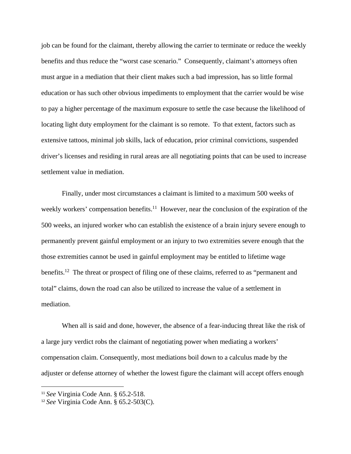job can be found for the claimant, thereby allowing the carrier to terminate or reduce the weekly benefits and thus reduce the "worst case scenario." Consequently, claimant's attorneys often must argue in a mediation that their client makes such a bad impression, has so little formal education or has such other obvious impediments to employment that the carrier would be wise to pay a higher percentage of the maximum exposure to settle the case because the likelihood of locating light duty employment for the claimant is so remote. To that extent, factors such as extensive tattoos, minimal job skills, lack of education, prior criminal convictions, suspended driver's licenses and residing in rural areas are all negotiating points that can be used to increase settlement value in mediation.

Finally, under most circumstances a claimant is limited to a maximum 500 weeks of weekly workers' compensation benefits.<sup>11</sup> However, near the conclusion of the expiration of the 500 weeks, an injured worker who can establish the existence of a brain injury severe enough to permanently prevent gainful employment or an injury to two extremities severe enough that the those extremities cannot be used in gainful employment may be entitled to lifetime wage benefits.<sup>12</sup> The threat or prospect of filing one of these claims, referred to as "permanent and total" claims, down the road can also be utilized to increase the value of a settlement in mediation.

 When all is said and done, however, the absence of a fear-inducing threat like the risk of a large jury verdict robs the claimant of negotiating power when mediating a workers' compensation claim. Consequently, most mediations boil down to a calculus made by the adjuster or defense attorney of whether the lowest figure the claimant will accept offers enough

<sup>11</sup> *See* Virginia Code Ann. § 65.2-518.

<sup>12</sup> *See* Virginia Code Ann. § 65.2-503(C).